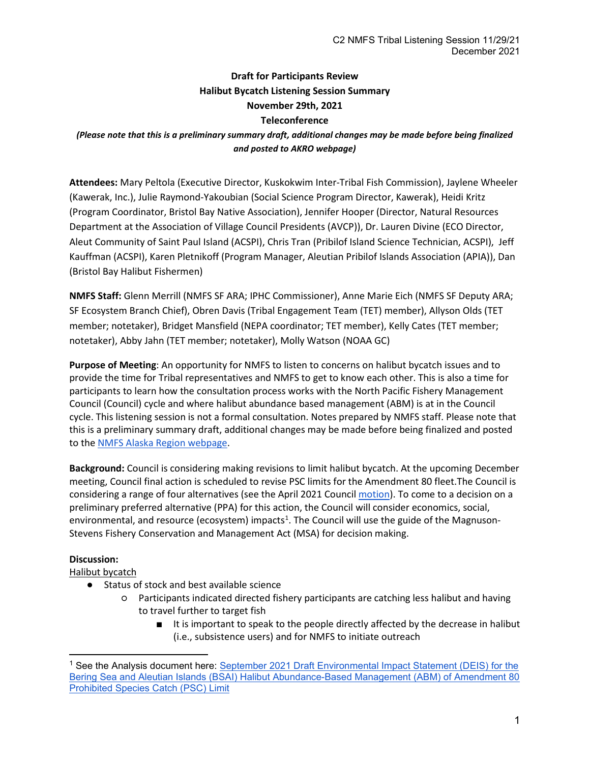# **Draft for Participants Review Halibut Bycatch Listening Session Summary November 29th, 2021 Teleconference**

## *(Please note that this is a preliminary summary draft, additional changes may be made before being finalized and posted to AKRO webpage)*

**Attendees:** Mary Peltola (Executive Director, Kuskokwim Inter-Tribal Fish Commission), Jaylene Wheeler (Kawerak, Inc.), Julie Raymond-Yakoubian (Social Science Program Director, Kawerak), Heidi Kritz (Program Coordinator, Bristol Bay Native Association), Jennifer Hooper (Director, Natural Resources Department at the Association of Village Council Presidents (AVCP)), Dr. Lauren Divine (ECO Director, Aleut Community of Saint Paul Island (ACSPI), Chris Tran (Pribilof Island Science Technician, ACSPI), Jeff Kauffman (ACSPI), Karen Pletnikoff (Program Manager, Aleutian Pribilof Islands Association (APIA)), Dan (Bristol Bay Halibut Fishermen)

**NMFS Staff:** Glenn Merrill (NMFS SF ARA; IPHC Commissioner), Anne Marie Eich (NMFS SF Deputy ARA; SF Ecosystem Branch Chief), Obren Davis (Tribal Engagement Team (TET) member), Allyson Olds (TET member; notetaker), Bridget Mansfield (NEPA coordinator; TET member), Kelly Cates (TET member; notetaker), Abby Jahn (TET member; notetaker), Molly Watson (NOAA GC)

**Purpose of Meeting**: An opportunity for NMFS to listen to concerns on halibut bycatch issues and to provide the time for Tribal representatives and NMFS to get to know each other. This is also a time for participants to learn how the consultation process works with the North Pacific Fishery Management Council (Council) cycle and where halibut abundance based management (ABM) is at in the Council cycle. This listening session is not a formal consultation. Notes prepared by NMFS staff. Please note that this is a preliminary summary draft, additional changes may be made before being finalized and posted to the [NMFS Alaska Region webpage.](https://www.fisheries.noaa.gov/alaska/consultations/alaska-fisheries-tribal-consultation-documents-and-workgroup)

**Background:** Council is considering making revisions to limit halibut bycatch. At the upcoming December meeting, Council final action is scheduled to revise PSC limits for the Amendment 80 fleet.The Council is considering a range of four alternatives (see the April 2021 Council [motion\)](https://meetings.npfmc.org/CommentReview/DownloadFile?p=e638f189-3577-460c-a0b3-92640e61bacc.pdf&fileName=C2%20Council%20Motion.pdf). To come to a decision on a preliminary preferred alternative (PPA) for this action, the Council will consider economics, social, environmental, and resource (ecosystem) impacts<sup>[1](#page-0-0)</sup>. The Council will use the guide of the Magnuson-Stevens Fishery Conservation and Management Act (MSA) for decision making.

### **Discussion:**

Halibut bycatch

- Status of stock and best available science
	- Participants indicated directed fishery participants are catching less halibut and having to travel further to target fish
		- It is important to speak to the people directly affected by the decrease in halibut (i.e., subsistence users) and for NMFS to initiate outreach

<span id="page-0-0"></span><sup>&</sup>lt;sup>1</sup> See the Analysis document here: September 2021 Draft Environmental Impact Statement (DEIS) for the [Bering Sea and Aleutian Islands \(BSAI\) Halibut Abundance-Based Management \(ABM\) of Amendment 80](https://meetings.npfmc.org/CommentReview/DownloadFile?p=0f935597-eb18-48fb-aff1-760429ac6eea.pdf&fileName=C2%20Halibut%20ABM%20Draft%20Environmental%20Impact%20Statement.pdf)  [Prohibited Species Catch \(PSC\) Limit](https://meetings.npfmc.org/CommentReview/DownloadFile?p=0f935597-eb18-48fb-aff1-760429ac6eea.pdf&fileName=C2%20Halibut%20ABM%20Draft%20Environmental%20Impact%20Statement.pdf)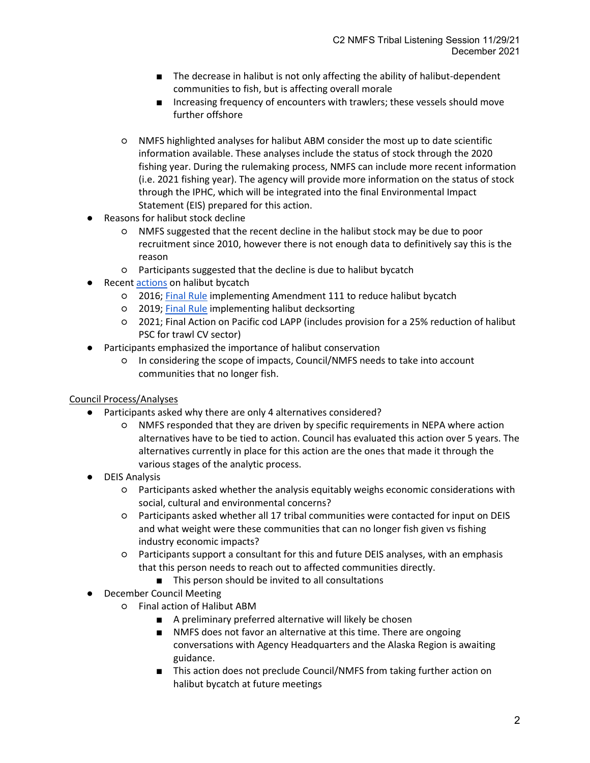- The decrease in halibut is not only affecting the ability of halibut-dependent communities to fish, but is affecting overall morale
- Increasing frequency of encounters with trawlers; these vessels should move further offshore
- NMFS highlighted analyses for halibut ABM consider the most up to date scientific information available. These analyses include the status of stock through the 2020 fishing year. During the rulemaking process, NMFS can include more recent information (i.e. 2021 fishing year). The agency will provide more information on the status of stock through the IPHC, which will be integrated into the final Environmental Impact Statement (EIS) prepared for this action.
- Reasons for halibut stock decline
	- NMFS suggested that the recent decline in the halibut stock may be due to poor recruitment since 2010, however there is not enough data to definitively say this is the reason
	- Participants suggested that the decline is due to halibut bycatch
- Recen[t actions](https://www.npfmc.org/wp-content/PDFdocuments/bycatch/bycatchflyer420.pdf) on halibut bycatch
	- 2016[; Final Rule](https://www.federalregister.gov/documents/2016/04/27/2016-09680/fisheries-of-the-exclusive-economic-zone-off-alaska-bering-sea-and-aleutian-islands-management-area) implementing Amendment 111 to reduce halibut bycatch
	- 2019[; Final Rule](https://www.federalregister.gov/documents/2019/10/15/2019-22198/fisheries-of-the-exclusive-economic-zone-off-alaska-halibut-deck-sorting-monitoring-requirements-for) implementing halibut decksorting
	- 2021; Final Action on Pacific cod LAPP (includes provision for a 25% reduction of halibut PSC for trawl CV sector)
- Participants emphasized the importance of halibut conservation
	- In considering the scope of impacts, Council/NMFS needs to take into account communities that no longer fish.

### Council Process/Analyses

- Participants asked why there are only 4 alternatives considered?
	- NMFS responded that they are driven by specific requirements in NEPA where action alternatives have to be tied to action. Council has evaluated this action over 5 years. The alternatives currently in place for this action are the ones that made it through the various stages of the analytic process.
- DEIS Analysis
	- Participants asked whether the analysis equitably weighs economic considerations with social, cultural and environmental concerns?
	- Participants asked whether all 17 tribal communities were contacted for input on DEIS and what weight were these communities that can no longer fish given vs fishing industry economic impacts?
	- Participants support a consultant for this and future DEIS analyses, with an emphasis that this person needs to reach out to affected communities directly.
		- This person should be invited to all consultations
- December Council Meeting
	- Final action of Halibut ABM
		- A preliminary preferred alternative will likely be chosen
		- NMFS does not favor an alternative at this time. There are ongoing conversations with Agency Headquarters and the Alaska Region is awaiting guidance.
		- This action does not preclude Council/NMFS from taking further action on halibut bycatch at future meetings